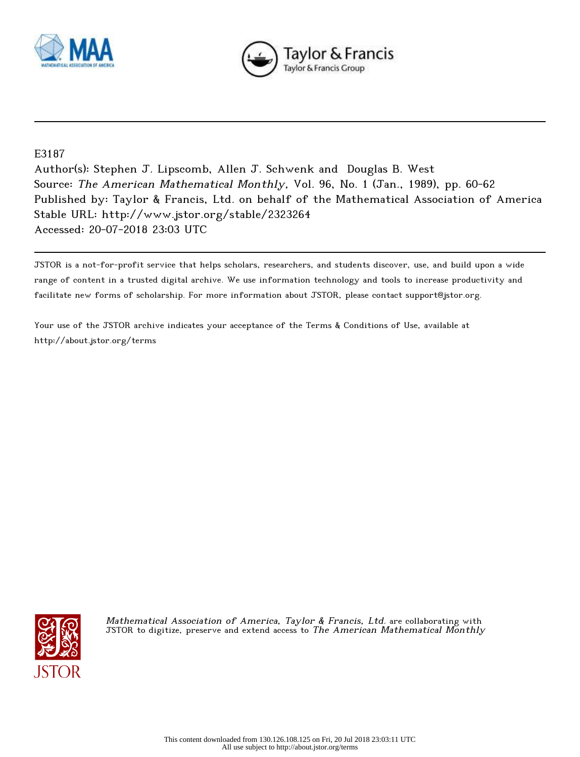



## E3187

Author(s): Stephen J. Lipscomb, Allen J. Schwenk and Douglas B. West Source: The American Mathematical Monthly, Vol. 96, No. 1 (Jan., 1989), pp. 60-62 Published by: Taylor & Francis, Ltd. on behalf of the Mathematical Association of America Stable URL: http://www.jstor.org/stable/2323264 Accessed: 20-07-2018 23:03 UTC

JSTOR is a not-for-profit service that helps scholars, researchers, and students discover, use, and build upon a wide range of content in a trusted digital archive. We use information technology and tools to increase productivity and facilitate new forms of scholarship. For more information about JSTOR, please contact support@jstor.org.

Your use of the JSTOR archive indicates your acceptance of the Terms & Conditions of Use, available at http://about.jstor.org/terms



Mathematical Association of America, Taylor & Francis, Ltd. are collaborating with JSTOR to digitize, preserve and extend access to The American Mathematical Monthly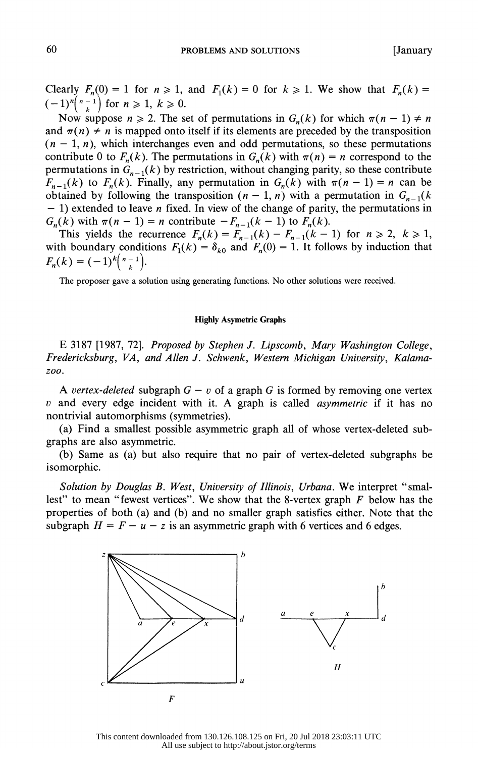Clearly  $F_n(0) = 1$  for  $n \ge 1$ , and  $F_1(k) = 0$  for  $k \ge 1$ . We show that  $F_n(k) =$  $(-1)^{n}\binom{n-1}{k}$  for  $n \geq 1, k \geq 0$ .

Now suppose  $n \ge 2$ . The set of permutations in  $G_n(k)$  for which  $\pi(n-1) \ne n$ and  $\pi(n) \neq n$  is mapped onto itself if its elements are preceded by the transposition  $(n - 1, n)$ , which interchanges even and odd permutations, so these permutations contribute 0 to  $F_n(k)$ . The permutations in  $G_n(k)$  with  $\pi(n) = n$  correspond to the permutations in  $G_{n-1}(k)$  by restriction, without changing parity, so these contribute  $F_{n-1}(k)$  to  $F_n(k)$ . Finally, any permutation in  $G_n(k)$  with  $\pi(n-1) = n$  can be obtained by following the transposition  $(n - 1, n)$  with a permutation in  $G_{n-1}(k)$  $- 1$ ) extended to leave *n* fixed. In view of the change of parity, the permutations in  $G_n(k)$  with  $\pi(n-1) = n$  contribute  $-F_{n-1}(k-1)$  to  $F_n(k)$ .

This yields the recurrence  $F_n(k) = F_{n-1}(k) - F_{n-1}(k-1)$  for  $n \ge 2$ ,  $k \ge 1$ , with boundary conditions  $F_1(k) = \delta_{k0}$  and  $F_n(0) = 1$ . It follows by induction that  $F_n(k) = (-1)^k {n-1 \choose k}.$ 

The proposer gave a solution using generating functions. No other solutions were received.

## Highly Asymetric Graphs

 E 3187 [1987, 72]. Proposed by Stephen J. Lipscomb, Mary Washington College, Fredericksburg, VA, and Allen J. Schwenk, Western Michigan University, Kalama zoo.

A vertex-deleted subgraph  $G - v$  of a graph G is formed by removing one vertex  $v$  and every edge incident with it. A graph is called *asymmetric* if it has no nontrivial automorphisms (symmetries).

 (a) Find a smallest possible asymmetric graph all of whose vertex-deleted sub graphs are also asymmetric.

 (b) Same as (a) but also require that no pair of vertex-deleted subgraphs be isomorphic.

Solution by Douglas B. West, University of Illinois, Urbana. We interpret "smallest" to mean "fewest vertices". We show that the 8-vertex graph  $F$  below has the properties of both (a) and (b) and no smaller graph satisfies either. Note that the subgraph  $H = F - u - z$  is an asymmetric graph with 6 vertices and 6 edges.



This content downloaded from 130.126.108.125 on Fri, 20 Jul 2018 23:03:11 UTC All use subject to http://about.jstor.org/terms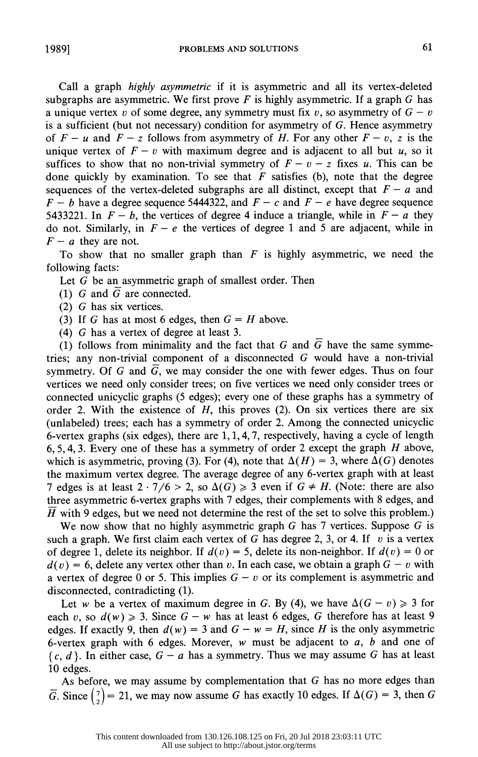Call a graph highly asymmetric if it is asymmetric and all its vertex-deleted subgraphs are asymmetric. We first prove  $F$  is highly asymmetric. If a graph  $G$  has a unique vertex v of some degree, any symmetry must fix v, so asymmetry of  $G - v$  is a sufficient (but not necessary) condition for asymmetry of G. Hence asymmetry of  $F - u$  and  $F - z$  follows from asymmetry of H. For any other  $F - v$ , z is the unique vertex of  $F - v$  with maximum degree and is adjacent to all but u, so it suffices to show that no non-trivial symmetry of  $F - v - z$  fixes u. This can be done quickly by examination. To see that  $F$  satisfies (b), note that the degree sequences of the vertex-deleted subgraphs are all distinct, except that  $F - a$  and  $F - b$  have a degree sequence 5444322, and  $F - c$  and  $F - e$  have degree sequence 5433221. In  $F - b$ , the vertices of degree 4 induce a triangle, while in  $F - a$  they do not. Similarly, in  $F - e$  the vertices of degree 1 and 5 are adjacent, while in  $F - a$  they are not.

To show that no smaller graph than  $F$  is highly asymmetric, we need the following facts:

Let G be an asymmetric graph of smallest order. Then

- (1) G and  $\overline{G}$  are connected.
- (2) G has six vertices.
- (3) If G has at most 6 edges, then  $G = H$  above.
- (4) G has a vertex of degree at least 3.

(1) follows from minimality and the fact that G and  $\overline{G}$  have the same symme tries; any non-trivial component of a disconnected G would have a non-trivial symmetry. Of G and  $\overline{G}$ , we may consider the one with fewer edges. Thus on four vertices we need only consider trees; on five vertices we need only consider trees or connected unicyclic graphs (5 edges); every one of these graphs has a symmetry of order 2. With the existence of  $H$ , this proves (2). On six vertices there are six (unlabeled) trees; each has a symmetry of order 2. Among the connected unicyclic 6-vertex graphs (six edges), there are  $1, 1, 4, 7$ , respectively, having a cycle of length 6, 5, 4, 3. Every one of these has a symmetry of order 2 except the graph  $H$  above, which is asymmetric, proving (3). For (4), note that  $\Delta(H) = 3$ , where  $\Delta(G)$  denotes the maximum vertex degree. The average degree of any 6-vertex graph with at least 7 edges is at least  $2 \cdot 7/6 > 2$ , so  $\Delta(G) \ge 3$  even if  $G \ne H$ . (Note: there are also three asymmetric 6-vertex graphs with 7 edges, their complements with 8 edges, and  $\overline{H}$  with 9 edges, but we need not determine the rest of the set to solve this problem.)

We now show that no highly asymmetric graph  $G$  has 7 vertices. Suppose  $G$  is such a graph. We first claim each vertex of G has degree 2, 3, or 4. If v is a vertex of degree 1, delete its neighbor. If  $d(v) = 5$ , delete its non-neighbor. If  $d(v) = 0$  or  $d(v) = 6$ , delete any vertex other than v. In each case, we obtain a graph  $G - v$  with a vertex of degree 0 or 5. This implies  $G - v$  or its complement is asymmetric and disconnected, contradicting (1).

Let w be a vertex of maximum degree in G. By (4), we have  $\Delta(G - v) \geq 3$  for each v, so  $d(w) \ge 3$ . Since  $G - w$  has at least 6 edges, G therefore has at least 9 edges. If exactly 9, then  $d(w) = 3$  and  $G - w = H$ , since H is the only asymmetric 6-vertex graph with 6 edges. Morever,  $w$  must be adjacent to  $a, b$  and one of  ${c, d}$ . In either case,  $G - a$  has a symmetry. Thus we may assume G has at least 10 edges.

 As before, we may assume by complementation that G has no more edges than  $\overline{G}$ . Since  $\begin{pmatrix} 7 \\ 2 \end{pmatrix} = 21$ , we may now assume G has exactly 10 edges. If  $\Delta(G) = 3$ , then G